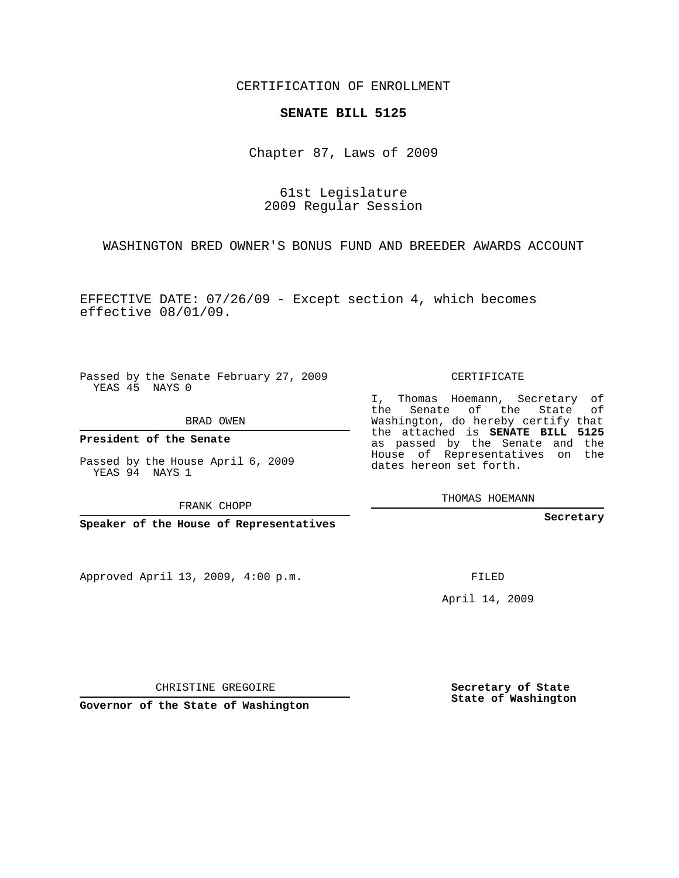CERTIFICATION OF ENROLLMENT

## **SENATE BILL 5125**

Chapter 87, Laws of 2009

61st Legislature 2009 Regular Session

WASHINGTON BRED OWNER'S BONUS FUND AND BREEDER AWARDS ACCOUNT

EFFECTIVE DATE: 07/26/09 - Except section 4, which becomes effective 08/01/09.

Passed by the Senate February 27, 2009 YEAS 45 NAYS 0

BRAD OWEN

YEAS 94 NAYS 1

FRANK CHOPP

Approved April 13, 2009, 4:00 p.m.

CERTIFICATE

I, Thomas Hoemann, Secretary of the Senate of the State of Washington, do hereby certify that the attached is **SENATE BILL 5125** as passed by the Senate and the House of Representatives on the dates hereon set forth.

THOMAS HOEMANN

**Secretary**

FILED

April 14, 2009

**Secretary of State State of Washington**

CHRISTINE GREGOIRE

**Governor of the State of Washington**

**President of the Senate**

Passed by the House April 6, 2009

**Speaker of the House of Representatives**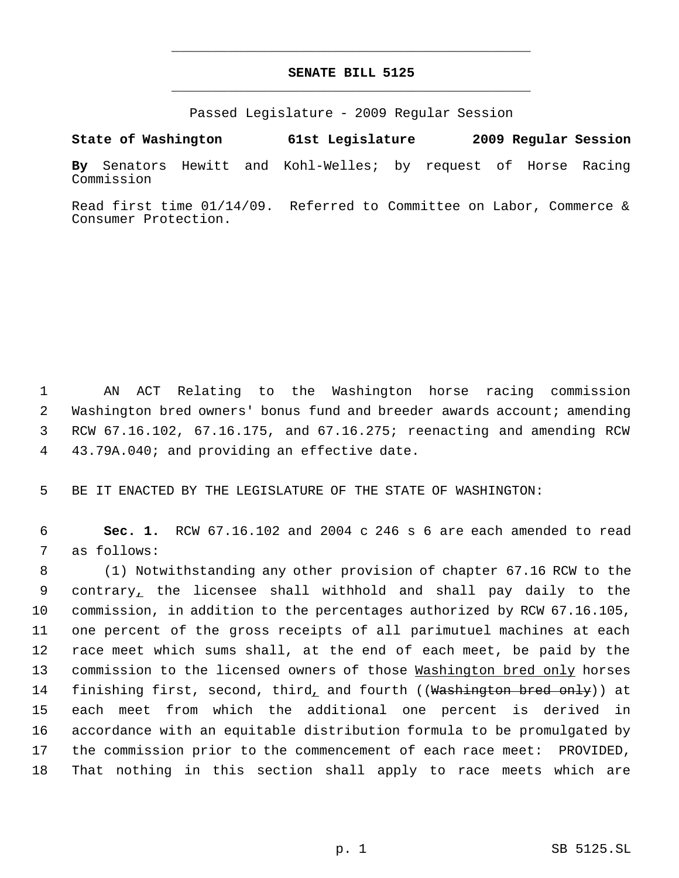## **SENATE BILL 5125** \_\_\_\_\_\_\_\_\_\_\_\_\_\_\_\_\_\_\_\_\_\_\_\_\_\_\_\_\_\_\_\_\_\_\_\_\_\_\_\_\_\_\_\_\_

\_\_\_\_\_\_\_\_\_\_\_\_\_\_\_\_\_\_\_\_\_\_\_\_\_\_\_\_\_\_\_\_\_\_\_\_\_\_\_\_\_\_\_\_\_

Passed Legislature - 2009 Regular Session

**State of Washington 61st Legislature 2009 Regular Session By** Senators Hewitt and Kohl-Welles; by request of Horse Racing Commission

Read first time 01/14/09. Referred to Committee on Labor, Commerce & Consumer Protection.

 AN ACT Relating to the Washington horse racing commission 2 Washington bred owners' bonus fund and breeder awards account; amending RCW 67.16.102, 67.16.175, and 67.16.275; reenacting and amending RCW 43.79A.040; and providing an effective date.

5 BE IT ENACTED BY THE LEGISLATURE OF THE STATE OF WASHINGTON:

 6 **Sec. 1.** RCW 67.16.102 and 2004 c 246 s 6 are each amended to read 7 as follows:

 (1) Notwithstanding any other provision of chapter 67.16 RCW to the contrary, the licensee shall withhold and shall pay daily to the commission, in addition to the percentages authorized by RCW 67.16.105, one percent of the gross receipts of all parimutuel machines at each race meet which sums shall, at the end of each meet, be paid by the 13 commission to the licensed owners of those Washington bred only horses 14 finishing first, second, third, and fourth ((Washington bred only)) at each meet from which the additional one percent is derived in accordance with an equitable distribution formula to be promulgated by the commission prior to the commencement of each race meet: PROVIDED, That nothing in this section shall apply to race meets which are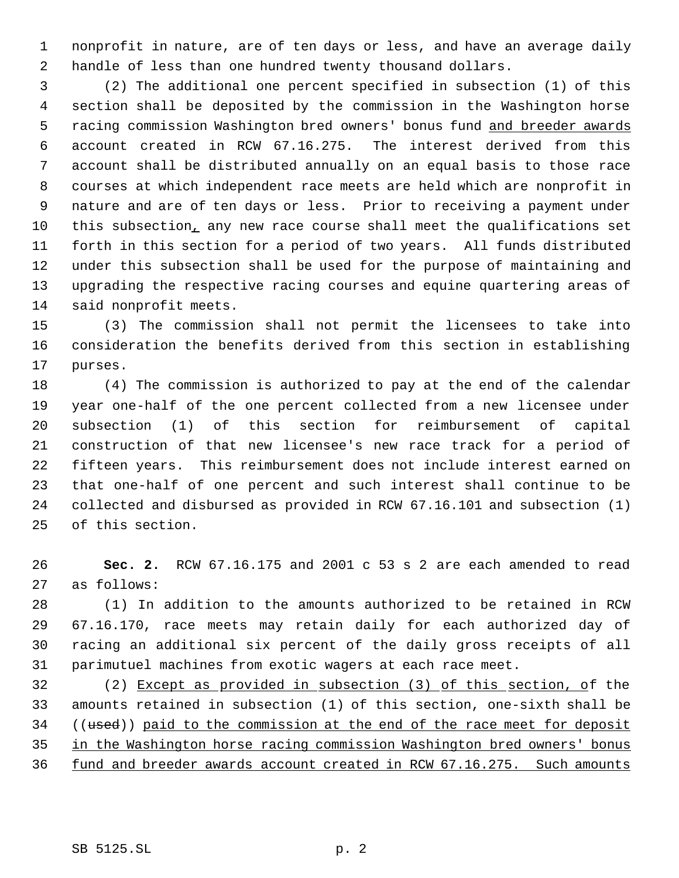nonprofit in nature, are of ten days or less, and have an average daily handle of less than one hundred twenty thousand dollars.

 (2) The additional one percent specified in subsection (1) of this section shall be deposited by the commission in the Washington horse 5 racing commission Washington bred owners' bonus fund and breeder awards account created in RCW 67.16.275. The interest derived from this account shall be distributed annually on an equal basis to those race courses at which independent race meets are held which are nonprofit in nature and are of ten days or less. Prior to receiving a payment under this subsection, any new race course shall meet the qualifications set forth in this section for a period of two years. All funds distributed under this subsection shall be used for the purpose of maintaining and upgrading the respective racing courses and equine quartering areas of said nonprofit meets.

 (3) The commission shall not permit the licensees to take into consideration the benefits derived from this section in establishing purses.

 (4) The commission is authorized to pay at the end of the calendar year one-half of the one percent collected from a new licensee under subsection (1) of this section for reimbursement of capital construction of that new licensee's new race track for a period of fifteen years. This reimbursement does not include interest earned on that one-half of one percent and such interest shall continue to be collected and disbursed as provided in RCW 67.16.101 and subsection (1) of this section.

 **Sec. 2.** RCW 67.16.175 and 2001 c 53 s 2 are each amended to read as follows:

 (1) In addition to the amounts authorized to be retained in RCW 67.16.170, race meets may retain daily for each authorized day of racing an additional six percent of the daily gross receipts of all parimutuel machines from exotic wagers at each race meet.

 (2) Except as provided in subsection (3) of this section, of the amounts retained in subsection (1) of this section, one-sixth shall be 34 ((used)) paid to the commission at the end of the race meet for deposit in the Washington horse racing commission Washington bred owners' bonus 36 fund and breeder awards account created in RCW 67.16.275. Such amounts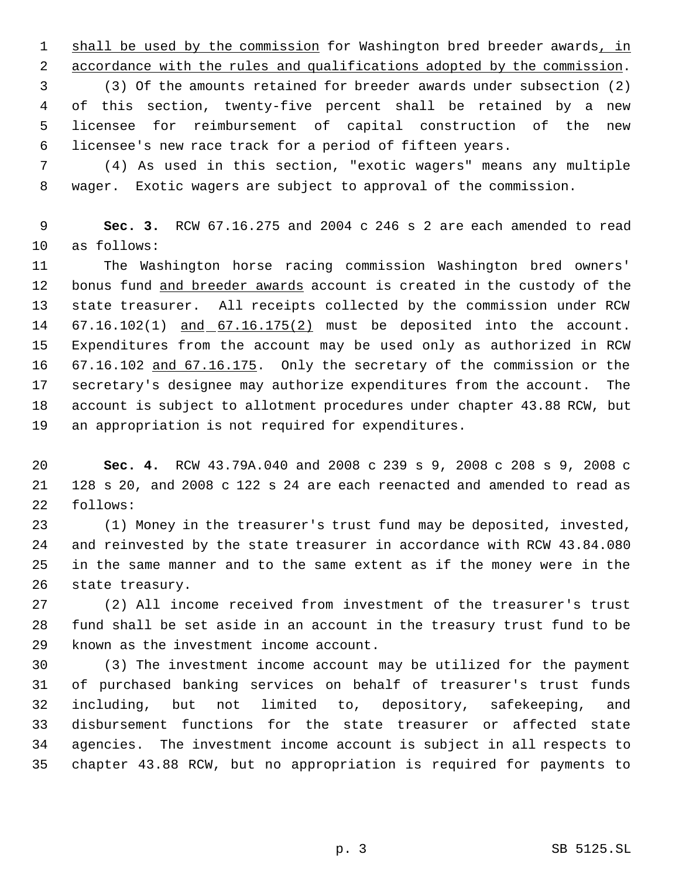1 shall be used by the commission for Washington bred breeder awards, in accordance with the rules and qualifications adopted by the commission.

 (3) Of the amounts retained for breeder awards under subsection (2) of this section, twenty-five percent shall be retained by a new licensee for reimbursement of capital construction of the new licensee's new race track for a period of fifteen years.

 (4) As used in this section, "exotic wagers" means any multiple wager. Exotic wagers are subject to approval of the commission.

 **Sec. 3.** RCW 67.16.275 and 2004 c 246 s 2 are each amended to read as follows:

 The Washington horse racing commission Washington bred owners' 12 bonus fund and breeder awards account is created in the custody of the state treasurer. All receipts collected by the commission under RCW 14 67.16.102(1) and 67.16.175(2) must be deposited into the account. Expenditures from the account may be used only as authorized in RCW 67.16.102 and 67.16.175. Only the secretary of the commission or the secretary's designee may authorize expenditures from the account. The account is subject to allotment procedures under chapter 43.88 RCW, but an appropriation is not required for expenditures.

 **Sec. 4.** RCW 43.79A.040 and 2008 c 239 s 9, 2008 c 208 s 9, 2008 c 128 s 20, and 2008 c 122 s 24 are each reenacted and amended to read as follows:

 (1) Money in the treasurer's trust fund may be deposited, invested, and reinvested by the state treasurer in accordance with RCW 43.84.080 in the same manner and to the same extent as if the money were in the state treasury.

 (2) All income received from investment of the treasurer's trust fund shall be set aside in an account in the treasury trust fund to be known as the investment income account.

 (3) The investment income account may be utilized for the payment of purchased banking services on behalf of treasurer's trust funds including, but not limited to, depository, safekeeping, and disbursement functions for the state treasurer or affected state agencies. The investment income account is subject in all respects to chapter 43.88 RCW, but no appropriation is required for payments to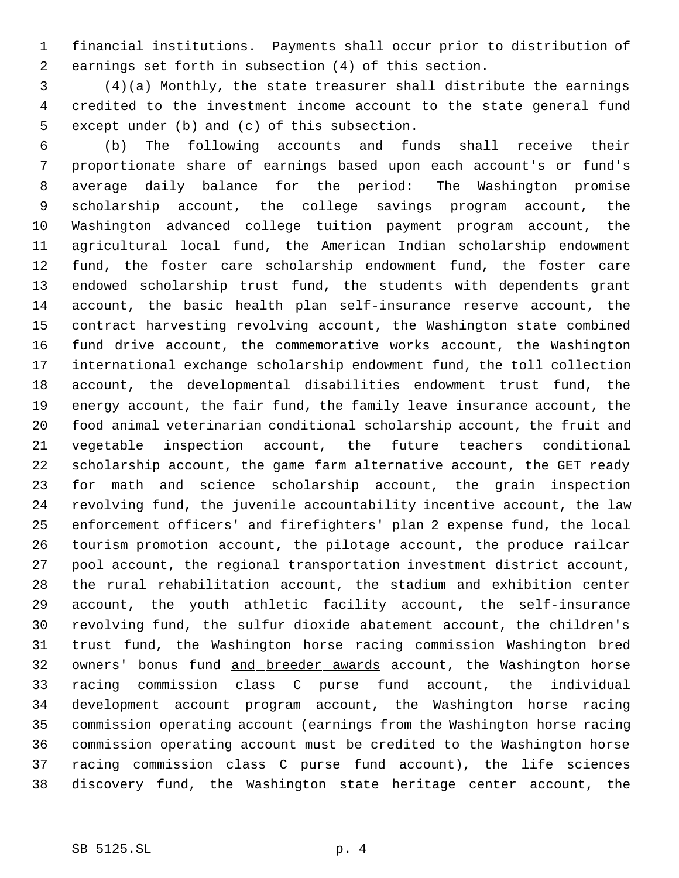financial institutions. Payments shall occur prior to distribution of earnings set forth in subsection (4) of this section.

 (4)(a) Monthly, the state treasurer shall distribute the earnings credited to the investment income account to the state general fund except under (b) and (c) of this subsection.

 (b) The following accounts and funds shall receive their proportionate share of earnings based upon each account's or fund's average daily balance for the period: The Washington promise scholarship account, the college savings program account, the Washington advanced college tuition payment program account, the agricultural local fund, the American Indian scholarship endowment fund, the foster care scholarship endowment fund, the foster care endowed scholarship trust fund, the students with dependents grant account, the basic health plan self-insurance reserve account, the contract harvesting revolving account, the Washington state combined fund drive account, the commemorative works account, the Washington international exchange scholarship endowment fund, the toll collection account, the developmental disabilities endowment trust fund, the energy account, the fair fund, the family leave insurance account, the food animal veterinarian conditional scholarship account, the fruit and vegetable inspection account, the future teachers conditional scholarship account, the game farm alternative account, the GET ready for math and science scholarship account, the grain inspection revolving fund, the juvenile accountability incentive account, the law enforcement officers' and firefighters' plan 2 expense fund, the local tourism promotion account, the pilotage account, the produce railcar pool account, the regional transportation investment district account, the rural rehabilitation account, the stadium and exhibition center account, the youth athletic facility account, the self-insurance revolving fund, the sulfur dioxide abatement account, the children's trust fund, the Washington horse racing commission Washington bred 32 owners' bonus fund and breeder awards account, the Washington horse racing commission class C purse fund account, the individual development account program account, the Washington horse racing commission operating account (earnings from the Washington horse racing commission operating account must be credited to the Washington horse racing commission class C purse fund account), the life sciences discovery fund, the Washington state heritage center account, the